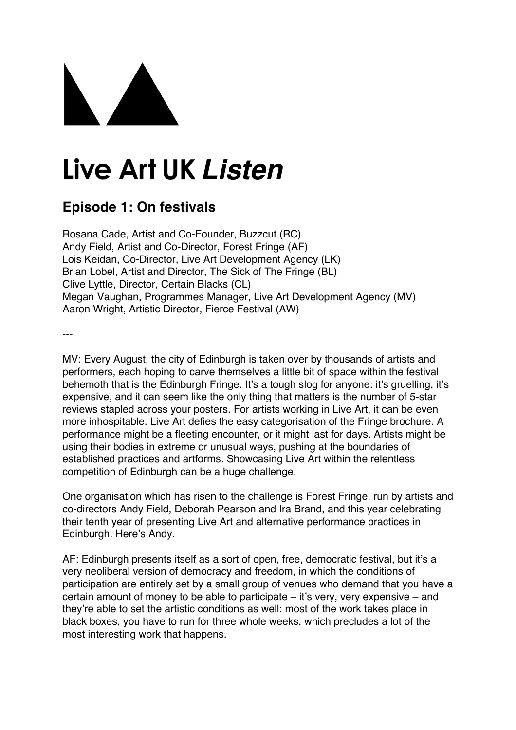## Live Art UK Listen

## **Episode 1: On festivals**

Rosana Cade, Artist and Co-Founder, Buzzcut (RC) Andy Field, Artist and Co-Director, Forest Fringe (AF) Lois Keidan, Co-Director, Live Art Development Agency (LK) Brian Lobel, Artist and Director, The Sick of The Fringe (BL) Clive Lyttle, Director, Certain Blacks (CL) Megan Vaughan, Programmes Manager, Live Art Development Agency (MV) Aaron Wright, Artistic Director, Fierce Festival (AW)

---

MV: Every August, the city of Edinburgh is taken over by thousands of artists and performers, each hoping to carve themselves a little bit of space within the festival behemoth that is the Edinburgh Fringe. It's a tough slog for anyone: it's gruelling, it's expensive, and it can seem like the only thing that matters is the number of 5-star reviews stapled across your posters. For artists working in Live Art, it can be even more inhospitable. Live Art defies the easy categorisation of the Fringe brochure. A performance might be a fleeting encounter, or it might last for days. Artists might be using their bodies in extreme or unusual ways, pushing at the boundaries of established practices and artforms. Showcasing Live Art within the relentless competition of Edinburgh can be a huge challenge.

One organisation which has risen to the challenge is Forest Fringe, run by artists and co-directors Andy Field, Deborah Pearson and Ira Brand, and this year celebrating their tenth year of presenting Live Art and alternative performance practices in Edinburgh. Here's Andy.

AF: Edinburgh presents itself as a sort of open, free, democratic festival, but it's a very neoliberal version of democracy and freedom, in which the conditions of participation are entirely set by a small group of venues who demand that you have a certain amount of money to be able to participate – it's very, very expensive – and they're able to set the artistic conditions as well: most of the work takes place in black boxes, you have to run for three whole weeks, which precludes a lot of the most interesting work that happens.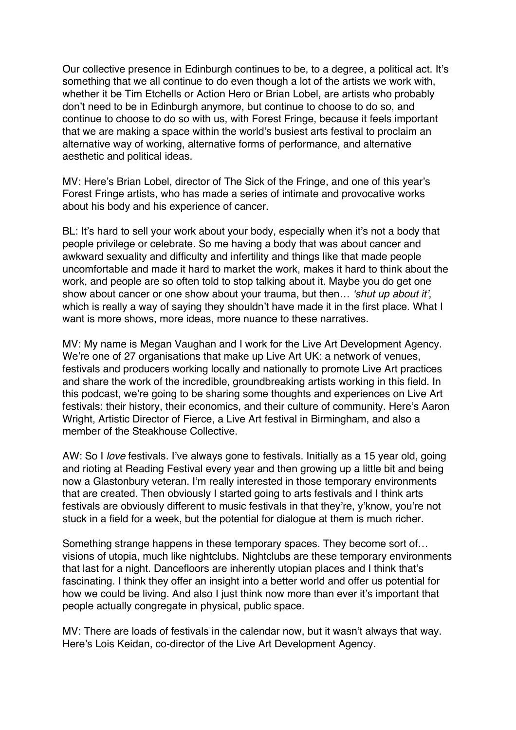Our collective presence in Edinburgh continues to be, to a degree, a political act. It's something that we all continue to do even though a lot of the artists we work with, whether it be Tim Etchells or Action Hero or Brian Lobel, are artists who probably don't need to be in Edinburgh anymore, but continue to choose to do so, and continue to choose to do so with us, with Forest Fringe, because it feels important that we are making a space within the world's busiest arts festival to proclaim an alternative way of working, alternative forms of performance, and alternative aesthetic and political ideas.

MV: Here's Brian Lobel, director of The Sick of the Fringe, and one of this year's Forest Fringe artists, who has made a series of intimate and provocative works about his body and his experience of cancer.

BL: It's hard to sell your work about your body, especially when it's not a body that people privilege or celebrate. So me having a body that was about cancer and awkward sexuality and difficulty and infertility and things like that made people uncomfortable and made it hard to market the work, makes it hard to think about the work, and people are so often told to stop talking about it. Maybe you do get one show about cancer or one show about your trauma, but then… *'shut up about it'*, which is really a way of saying they shouldn't have made it in the first place. What I want is more shows, more ideas, more nuance to these narratives.

MV: My name is Megan Vaughan and I work for the Live Art Development Agency. We're one of 27 organisations that make up Live Art UK: a network of venues, festivals and producers working locally and nationally to promote Live Art practices and share the work of the incredible, groundbreaking artists working in this field. In this podcast, we're going to be sharing some thoughts and experiences on Live Art festivals: their history, their economics, and their culture of community. Here's Aaron Wright, Artistic Director of Fierce, a Live Art festival in Birmingham, and also a member of the Steakhouse Collective.

AW: So I *love* festivals. I've always gone to festivals. Initially as a 15 year old, going and rioting at Reading Festival every year and then growing up a little bit and being now a Glastonbury veteran. I'm really interested in those temporary environments that are created. Then obviously I started going to arts festivals and I think arts festivals are obviously different to music festivals in that they're, y'know, you're not stuck in a field for a week, but the potential for dialogue at them is much richer.

Something strange happens in these temporary spaces. They become sort of… visions of utopia, much like nightclubs. Nightclubs are these temporary environments that last for a night. Dancefloors are inherently utopian places and I think that's fascinating. I think they offer an insight into a better world and offer us potential for how we could be living. And also I just think now more than ever it's important that people actually congregate in physical, public space.

MV: There are loads of festivals in the calendar now, but it wasn't always that way. Here's Lois Keidan, co-director of the Live Art Development Agency.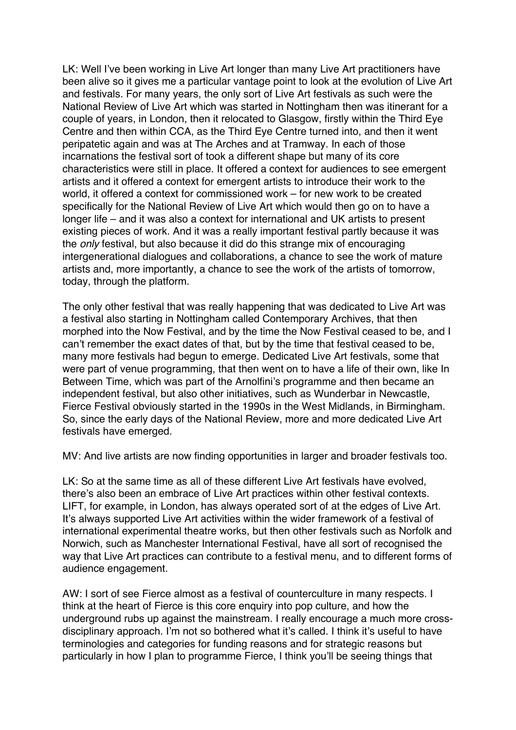LK: Well I've been working in Live Art longer than many Live Art practitioners have been alive so it gives me a particular vantage point to look at the evolution of Live Art and festivals. For many years, the only sort of Live Art festivals as such were the National Review of Live Art which was started in Nottingham then was itinerant for a couple of years, in London, then it relocated to Glasgow, firstly within the Third Eye Centre and then within CCA, as the Third Eye Centre turned into, and then it went peripatetic again and was at The Arches and at Tramway. In each of those incarnations the festival sort of took a different shape but many of its core characteristics were still in place. It offered a context for audiences to see emergent artists and it offered a context for emergent artists to introduce their work to the world, it offered a context for commissioned work – for new work to be created specifically for the National Review of Live Art which would then go on to have a longer life – and it was also a context for international and UK artists to present existing pieces of work. And it was a really important festival partly because it was the *only* festival, but also because it did do this strange mix of encouraging intergenerational dialogues and collaborations, a chance to see the work of mature artists and, more importantly, a chance to see the work of the artists of tomorrow, today, through the platform.

The only other festival that was really happening that was dedicated to Live Art was a festival also starting in Nottingham called Contemporary Archives, that then morphed into the Now Festival, and by the time the Now Festival ceased to be, and I can't remember the exact dates of that, but by the time that festival ceased to be, many more festivals had begun to emerge. Dedicated Live Art festivals, some that were part of venue programming, that then went on to have a life of their own, like In Between Time, which was part of the Arnolfini's programme and then became an independent festival, but also other initiatives, such as Wunderbar in Newcastle, Fierce Festival obviously started in the 1990s in the West Midlands, in Birmingham. So, since the early days of the National Review, more and more dedicated Live Art festivals have emerged.

MV: And live artists are now finding opportunities in larger and broader festivals too.

LK: So at the same time as all of these different Live Art festivals have evolved, there's also been an embrace of Live Art practices within other festival contexts. LIFT, for example, in London, has always operated sort of at the edges of Live Art. It's always supported Live Art activities within the wider framework of a festival of international experimental theatre works, but then other festivals such as Norfolk and Norwich, such as Manchester International Festival, have all sort of recognised the way that Live Art practices can contribute to a festival menu, and to different forms of audience engagement.

AW: I sort of see Fierce almost as a festival of counterculture in many respects. I think at the heart of Fierce is this core enquiry into pop culture, and how the underground rubs up against the mainstream. I really encourage a much more crossdisciplinary approach. I'm not so bothered what it's called. I think it's useful to have terminologies and categories for funding reasons and for strategic reasons but particularly in how I plan to programme Fierce, I think you'll be seeing things that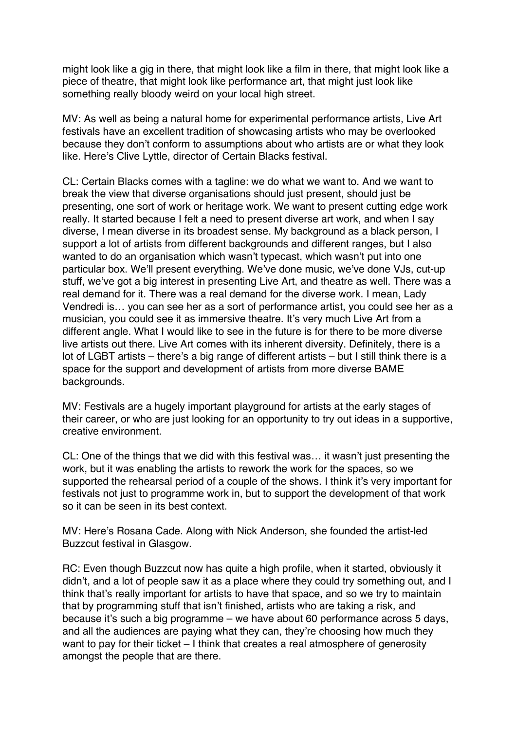might look like a gig in there, that might look like a film in there, that might look like a piece of theatre, that might look like performance art, that might just look like something really bloody weird on your local high street.

MV: As well as being a natural home for experimental performance artists, Live Art festivals have an excellent tradition of showcasing artists who may be overlooked because they don't conform to assumptions about who artists are or what they look like. Here's Clive Lyttle, director of Certain Blacks festival.

CL: Certain Blacks comes with a tagline: we do what we want to. And we want to break the view that diverse organisations should just present, should just be presenting, one sort of work or heritage work. We want to present cutting edge work really. It started because I felt a need to present diverse art work, and when I say diverse, I mean diverse in its broadest sense. My background as a black person, I support a lot of artists from different backgrounds and different ranges, but I also wanted to do an organisation which wasn't typecast, which wasn't put into one particular box. We'll present everything. We've done music, we've done VJs, cut-up stuff, we've got a big interest in presenting Live Art, and theatre as well. There was a real demand for it. There was a real demand for the diverse work. I mean, Lady Vendredi is… you can see her as a sort of performance artist, you could see her as a musician, you could see it as immersive theatre. It's very much Live Art from a different angle. What I would like to see in the future is for there to be more diverse live artists out there. Live Art comes with its inherent diversity. Definitely, there is a lot of LGBT artists – there's a big range of different artists – but I still think there is a space for the support and development of artists from more diverse BAME backgrounds.

MV: Festivals are a hugely important playground for artists at the early stages of their career, or who are just looking for an opportunity to try out ideas in a supportive, creative environment.

CL: One of the things that we did with this festival was… it wasn't just presenting the work, but it was enabling the artists to rework the work for the spaces, so we supported the rehearsal period of a couple of the shows. I think it's very important for festivals not just to programme work in, but to support the development of that work so it can be seen in its best context.

MV: Here's Rosana Cade. Along with Nick Anderson, she founded the artist-led Buzzcut festival in Glasgow.

RC: Even though Buzzcut now has quite a high profile, when it started, obviously it didn't, and a lot of people saw it as a place where they could try something out, and I think that's really important for artists to have that space, and so we try to maintain that by programming stuff that isn't finished, artists who are taking a risk, and because it's such a big programme – we have about 60 performance across 5 days, and all the audiences are paying what they can, they're choosing how much they want to pay for their ticket – I think that creates a real atmosphere of generosity amongst the people that are there.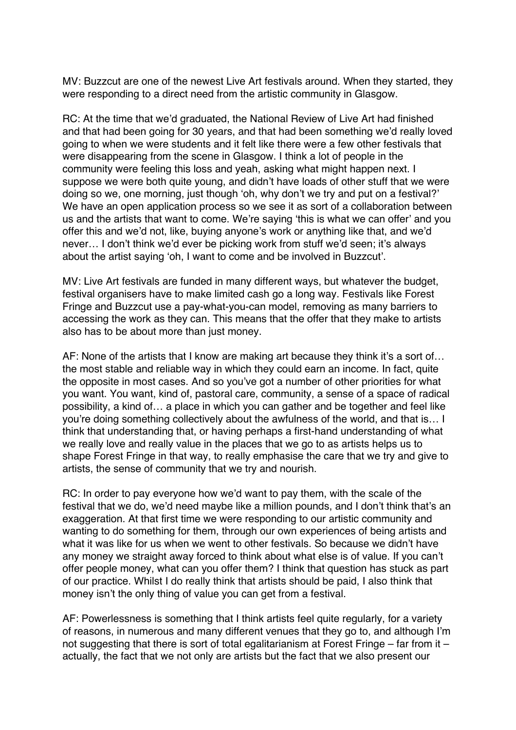MV: Buzzcut are one of the newest Live Art festivals around. When they started, they were responding to a direct need from the artistic community in Glasgow.

RC: At the time that we'd graduated, the National Review of Live Art had finished and that had been going for 30 years, and that had been something we'd really loved going to when we were students and it felt like there were a few other festivals that were disappearing from the scene in Glasgow. I think a lot of people in the community were feeling this loss and yeah, asking what might happen next. I suppose we were both quite young, and didn't have loads of other stuff that we were doing so we, one morning, just though 'oh, why don't we try and put on a festival?' We have an open application process so we see it as sort of a collaboration between us and the artists that want to come. We're saying 'this is what we can offer' and you offer this and we'd not, like, buying anyone's work or anything like that, and we'd never… I don't think we'd ever be picking work from stuff we'd seen; it's always about the artist saying 'oh, I want to come and be involved in Buzzcut'.

MV: Live Art festivals are funded in many different ways, but whatever the budget, festival organisers have to make limited cash go a long way. Festivals like Forest Fringe and Buzzcut use a pay-what-you-can model, removing as many barriers to accessing the work as they can. This means that the offer that they make to artists also has to be about more than just money.

AF: None of the artists that I know are making art because they think it's a sort of… the most stable and reliable way in which they could earn an income. In fact, quite the opposite in most cases. And so you've got a number of other priorities for what you want. You want, kind of, pastoral care, community, a sense of a space of radical possibility, a kind of… a place in which you can gather and be together and feel like you're doing something collectively about the awfulness of the world, and that is… I think that understanding that, or having perhaps a first-hand understanding of what we really love and really value in the places that we go to as artists helps us to shape Forest Fringe in that way, to really emphasise the care that we try and give to artists, the sense of community that we try and nourish.

RC: In order to pay everyone how we'd want to pay them, with the scale of the festival that we do, we'd need maybe like a million pounds, and I don't think that's an exaggeration. At that first time we were responding to our artistic community and wanting to do something for them, through our own experiences of being artists and what it was like for us when we went to other festivals. So because we didn't have any money we straight away forced to think about what else is of value. If you can't offer people money, what can you offer them? I think that question has stuck as part of our practice. Whilst I do really think that artists should be paid, I also think that money isn't the only thing of value you can get from a festival.

AF: Powerlessness is something that I think artists feel quite regularly, for a variety of reasons, in numerous and many different venues that they go to, and although I'm not suggesting that there is sort of total egalitarianism at Forest Fringe – far from it – actually, the fact that we not only are artists but the fact that we also present our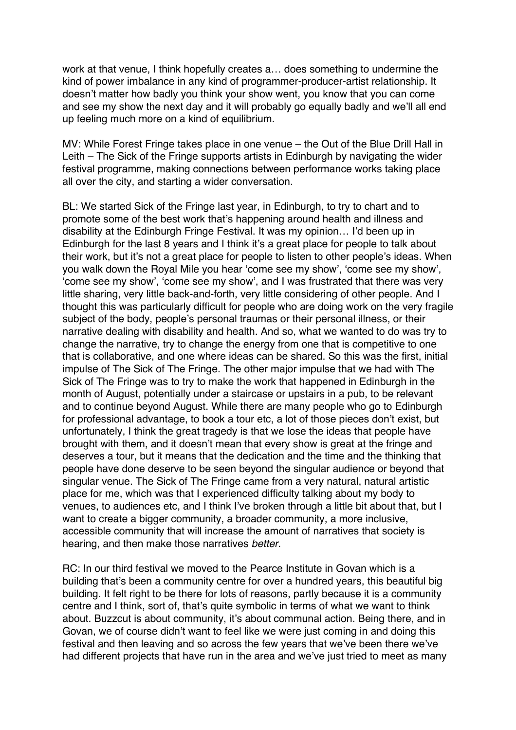work at that venue, I think hopefully creates a… does something to undermine the kind of power imbalance in any kind of programmer-producer-artist relationship. It doesn't matter how badly you think your show went, you know that you can come and see my show the next day and it will probably go equally badly and we'll all end up feeling much more on a kind of equilibrium.

MV: While Forest Fringe takes place in one venue – the Out of the Blue Drill Hall in Leith – The Sick of the Fringe supports artists in Edinburgh by navigating the wider festival programme, making connections between performance works taking place all over the city, and starting a wider conversation.

BL: We started Sick of the Fringe last year, in Edinburgh, to try to chart and to promote some of the best work that's happening around health and illness and disability at the Edinburgh Fringe Festival. It was my opinion… I'd been up in Edinburgh for the last 8 years and I think it's a great place for people to talk about their work, but it's not a great place for people to listen to other people's ideas. When you walk down the Royal Mile you hear 'come see my show', 'come see my show', 'come see my show', 'come see my show', and I was frustrated that there was very little sharing, very little back-and-forth, very little considering of other people. And I thought this was particularly difficult for people who are doing work on the very fragile subject of the body, people's personal traumas or their personal illness, or their narrative dealing with disability and health. And so, what we wanted to do was try to change the narrative, try to change the energy from one that is competitive to one that is collaborative, and one where ideas can be shared. So this was the first, initial impulse of The Sick of The Fringe. The other major impulse that we had with The Sick of The Fringe was to try to make the work that happened in Edinburgh in the month of August, potentially under a staircase or upstairs in a pub, to be relevant and to continue beyond August. While there are many people who go to Edinburgh for professional advantage, to book a tour etc, a lot of those pieces don't exist, but unfortunately, I think the great tragedy is that we lose the ideas that people have brought with them, and it doesn't mean that every show is great at the fringe and deserves a tour, but it means that the dedication and the time and the thinking that people have done deserve to be seen beyond the singular audience or beyond that singular venue. The Sick of The Fringe came from a very natural, natural artistic place for me, which was that I experienced difficulty talking about my body to venues, to audiences etc, and I think I've broken through a little bit about that, but I want to create a bigger community, a broader community, a more inclusive, accessible community that will increase the amount of narratives that society is hearing, and then make those narratives *better*.

RC: In our third festival we moved to the Pearce Institute in Govan which is a building that's been a community centre for over a hundred years, this beautiful big building. It felt right to be there for lots of reasons, partly because it is a community centre and I think, sort of, that's quite symbolic in terms of what we want to think about. Buzzcut is about community, it's about communal action. Being there, and in Govan, we of course didn't want to feel like we were just coming in and doing this festival and then leaving and so across the few years that we've been there we've had different projects that have run in the area and we've just tried to meet as many